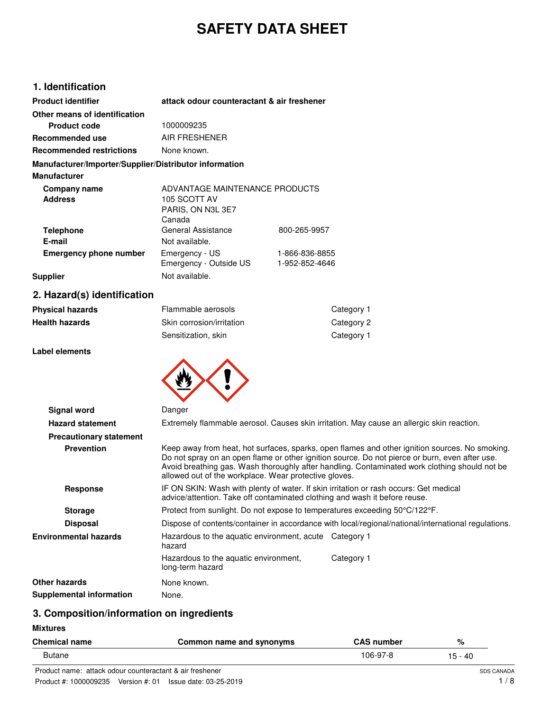# **SAFETY DATA SHEET**

### **1. Identification**

| <b>Product identifier</b>                              | attack odour counteractant & air freshener                                    |                                  |
|--------------------------------------------------------|-------------------------------------------------------------------------------|----------------------------------|
| Other means of identification<br>Product code          | 1000009235                                                                    |                                  |
| Recommended use                                        | AIR FRESHENER                                                                 |                                  |
| <b>Recommended restrictions</b>                        | None known.                                                                   |                                  |
| Manufacturer/Importer/Supplier/Distributor information |                                                                               |                                  |
| <b>Manufacturer</b>                                    |                                                                               |                                  |
| Company name<br><b>Address</b>                         | ADVANTAGE MAINTENANCE PRODUCTS<br>105 SCOTT AV<br>PARIS, ON N3L 3E7<br>Canada |                                  |
| <b>Telephone</b><br>E-mail                             | General Assistance<br>Not available.                                          | 800-265-9957                     |
| <b>Emergency phone number</b>                          | Emergency - US<br>Emergency - Outside US                                      | 1-866-836-8855<br>1-952-852-4646 |
| <b>Supplier</b>                                        | Not available.                                                                |                                  |

# **2. Hazard(s) identification**

| Physical hazards | Flammable aerosols        | Category 1 |
|------------------|---------------------------|------------|
| Health hazards   | Skin corrosion/irritation | Category 2 |
|                  | Sensitization, skin       | Category 1 |

#### **Label elements**



| Signal word                     | Danger                                                                                                                                                              |                                                                                                                                                                                                                                                                                                   |
|---------------------------------|---------------------------------------------------------------------------------------------------------------------------------------------------------------------|---------------------------------------------------------------------------------------------------------------------------------------------------------------------------------------------------------------------------------------------------------------------------------------------------|
| <b>Hazard statement</b>         | Extremely flammable aerosol. Causes skin irritation. May cause an allergic skin reaction.                                                                           |                                                                                                                                                                                                                                                                                                   |
| <b>Precautionary statement</b>  |                                                                                                                                                                     |                                                                                                                                                                                                                                                                                                   |
| <b>Prevention</b>               | allowed out of the workplace. Wear protective gloves.                                                                                                               | Keep away from heat, hot surfaces, sparks, open flames and other ignition sources. No smoking.<br>Do not spray on an open flame or other ignition source. Do not pierce or burn, even after use.<br>Avoid breathing gas. Wash thoroughly after handling. Contaminated work clothing should not be |
| Response                        | IF ON SKIN: Wash with plenty of water. If skin irritation or rash occurs: Get medical<br>advice/attention. Take off contaminated clothing and wash it before reuse. |                                                                                                                                                                                                                                                                                                   |
| <b>Storage</b>                  | Protect from sunlight. Do not expose to temperatures exceeding 50°C/122°F.                                                                                          |                                                                                                                                                                                                                                                                                                   |
| <b>Disposal</b>                 |                                                                                                                                                                     | Dispose of contents/container in accordance with local/regional/national/international regulations.                                                                                                                                                                                               |
| Environmental hazards           | Hazardous to the aquatic environment, acute Category 1<br>hazard                                                                                                    |                                                                                                                                                                                                                                                                                                   |
|                                 | Hazardous to the aquatic environment,<br>long-term hazard                                                                                                           | Category 1                                                                                                                                                                                                                                                                                        |
| Other hazards                   | None known.                                                                                                                                                         |                                                                                                                                                                                                                                                                                                   |
| <b>Supplemental information</b> | None.                                                                                                                                                               |                                                                                                                                                                                                                                                                                                   |
|                                 |                                                                                                                                                                     |                                                                                                                                                                                                                                                                                                   |

# **3. Composition/information on ingredients**

**Mixtures**

| <b>Chemical name</b> | Common name and synonyms | <b>CAS number</b> | %       |
|----------------------|--------------------------|-------------------|---------|
| <b>Butane</b>        |                          | 106-97-8          | 15 - 40 |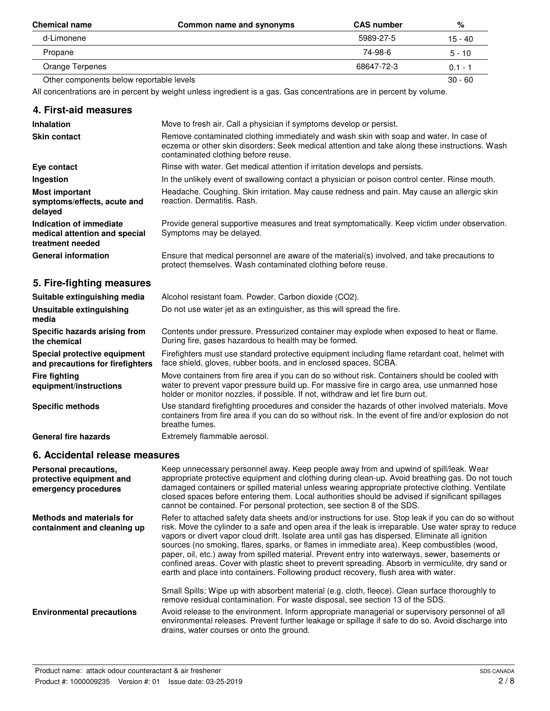| <b>Chemical name</b>                     | Common name and synonyms | <b>CAS number</b> | %         |
|------------------------------------------|--------------------------|-------------------|-----------|
| d-Limonene                               |                          | 5989-27-5         | 15 - 40   |
| Propane                                  |                          | 74-98-6           | $5 - 10$  |
| Orange Terpenes                          |                          | 68647-72-3        | $0.1 - 1$ |
| Other components below reportable levels |                          |                   | $30 - 60$ |

All concentrations are in percent by weight unless ingredient is a gas. Gas concentrations are in percent by volume.

| 4. First-aid measures                                                        |                                                                                                                                                                                                                                                                                  |
|------------------------------------------------------------------------------|----------------------------------------------------------------------------------------------------------------------------------------------------------------------------------------------------------------------------------------------------------------------------------|
| <b>Inhalation</b>                                                            | Move to fresh air. Call a physician if symptoms develop or persist.                                                                                                                                                                                                              |
| <b>Skin contact</b>                                                          | Remove contaminated clothing immediately and wash skin with soap and water. In case of<br>eczema or other skin disorders: Seek medical attention and take along these instructions. Wash<br>contaminated clothing before reuse.                                                  |
| Eye contact                                                                  | Rinse with water. Get medical attention if irritation develops and persists.                                                                                                                                                                                                     |
| Ingestion                                                                    | In the unlikely event of swallowing contact a physician or poison control center. Rinse mouth.                                                                                                                                                                                   |
| <b>Most important</b><br>symptoms/effects, acute and<br>delayed              | Headache. Coughing. Skin irritation. May cause redness and pain. May cause an allergic skin<br>reaction. Dermatitis. Rash.                                                                                                                                                       |
| Indication of immediate<br>medical attention and special<br>treatment needed | Provide general supportive measures and treat symptomatically. Keep victim under observation.<br>Symptoms may be delayed.                                                                                                                                                        |
| <b>General information</b>                                                   | Ensure that medical personnel are aware of the material(s) involved, and take precautions to<br>protect themselves. Wash contaminated clothing before reuse.                                                                                                                     |
| 5. Fire-fighting measures                                                    |                                                                                                                                                                                                                                                                                  |
| Suitable extinguishing media                                                 | Alcohol resistant foam. Powder. Carbon dioxide (CO2).                                                                                                                                                                                                                            |
| Unsuitable extinguishing<br>media                                            | Do not use water jet as an extinguisher, as this will spread the fire.                                                                                                                                                                                                           |
| Specific hazards arising from<br>the chemical                                | Contents under pressure. Pressurized container may explode when exposed to heat or flame.<br>During fire, gases hazardous to health may be formed.                                                                                                                               |
| Special protective equipment<br>and precautions for firefighters             | Firefighters must use standard protective equipment including flame retardant coat, helmet with<br>face shield, gloves, rubber boots, and in enclosed spaces, SCBA.                                                                                                              |
| <b>Fire fighting</b><br>equipment/instructions                               | Move containers from fire area if you can do so without risk. Containers should be cooled with<br>water to prevent vapor pressure build up. For massive fire in cargo area, use unmanned hose<br>holder or monitor nozzles, if possible. If not, withdraw and let fire burn out. |
| <b>Specific methods</b>                                                      | Use standard firefighting procedures and consider the hazards of other involved materials. Move<br>containers from fire area if you can do so without risk. In the event of fire and/or explosion do not<br>breathe fumes.                                                       |
| <b>General fire hazards</b>                                                  | Extremely flammable aerosol.                                                                                                                                                                                                                                                     |
| 6. Accidental release measures                                               |                                                                                                                                                                                                                                                                                  |
| Personal precautions,<br>iataatiya aaninaaantana                             | Keep unnecessary personnel away. Keep people away from and upwind of spill/leak. Wear<br>appropriate protective equipment and elething during elegan up. Avoid breathing gas. De not tough                                                                                       |

| Personal precautions,<br>protective equipment and<br>emergency procedures | Keep unnecessary personnel away. Keep people away from and upwind of spill/leak. Wear<br>appropriate protective equipment and clothing during clean-up. Avoid breathing gas. Do not touch<br>damaged containers or spilled material unless wearing appropriate protective clothing. Ventilate<br>closed spaces before entering them. Local authorities should be advised if significant spillages<br>cannot be contained. For personal protection, see section 8 of the SDS.                                                                                                                                                                                                                                    |
|---------------------------------------------------------------------------|-----------------------------------------------------------------------------------------------------------------------------------------------------------------------------------------------------------------------------------------------------------------------------------------------------------------------------------------------------------------------------------------------------------------------------------------------------------------------------------------------------------------------------------------------------------------------------------------------------------------------------------------------------------------------------------------------------------------|
| <b>Methods and materials for</b><br>containment and cleaning up           | Refer to attached safety data sheets and/or instructions for use. Stop leak if you can do so without<br>risk. Move the cylinder to a safe and open area if the leak is irreparable. Use water spray to reduce<br>vapors or divert vapor cloud drift. Isolate area until gas has dispersed. Eliminate all ignition<br>sources (no smoking, flares, sparks, or flames in immediate area). Keep combustibles (wood,<br>paper, oil, etc.) away from spilled material. Prevent entry into waterways, sewer, basements or<br>confined areas. Cover with plastic sheet to prevent spreading. Absorb in vermiculite, dry sand or<br>earth and place into containers. Following product recovery, flush area with water. |
|                                                                           | Small Spills: Wipe up with absorbent material (e.g. cloth, fleece). Clean surface thoroughly to<br>remove residual contamination. For waste disposal, see section 13 of the SDS.                                                                                                                                                                                                                                                                                                                                                                                                                                                                                                                                |
| <b>Environmental precautions</b>                                          | Avoid release to the environment. Inform appropriate managerial or supervisory personnel of all<br>environmental releases. Prevent further leakage or spillage if safe to do so. Avoid discharge into<br>drains, water courses or onto the ground.                                                                                                                                                                                                                                                                                                                                                                                                                                                              |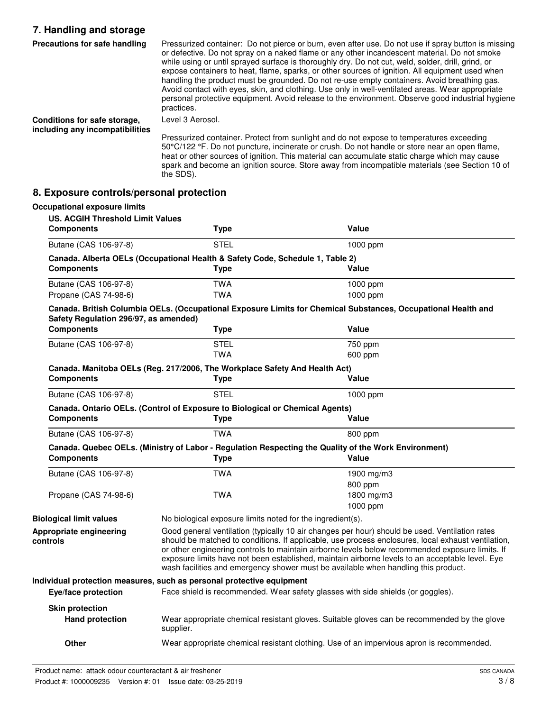### **7. Handling and storage**

| Precautions for safe handling                                   | Pressurized container: Do not pierce or burn, even after use. Do not use if spray button is missing<br>or defective. Do not spray on a naked flame or any other incandescent material. Do not smoke<br>while using or until sprayed surface is thoroughly dry. Do not cut, weld, solder, drill, grind, or<br>expose containers to heat, flame, sparks, or other sources of ignition. All equipment used when<br>handling the product must be grounded. Do not re-use empty containers. Avoid breathing gas.<br>Avoid contact with eyes, skin, and clothing. Use only in well-ventilated areas. Wear appropriate<br>personal protective equipment. Avoid release to the environment. Observe good industrial hygiene<br>practices. |
|-----------------------------------------------------------------|-----------------------------------------------------------------------------------------------------------------------------------------------------------------------------------------------------------------------------------------------------------------------------------------------------------------------------------------------------------------------------------------------------------------------------------------------------------------------------------------------------------------------------------------------------------------------------------------------------------------------------------------------------------------------------------------------------------------------------------|
| Conditions for safe storage,<br>including any incompatibilities | Level 3 Aerosol.                                                                                                                                                                                                                                                                                                                                                                                                                                                                                                                                                                                                                                                                                                                  |
|                                                                 | Pressurized container. Protect from sunlight and do not expose to temperatures exceeding<br>50°C/122 °F. Do not puncture, incinerate or crush. Do not handle or store near an open flame,                                                                                                                                                                                                                                                                                                                                                                                                                                                                                                                                         |

heat or other sources of ignition. This material can accumulate static charge which may cause spark and become an ignition source. Store away from incompatible materials (see Section 10 of

# **8. Exposure controls/personal protection**

the SDS).

| <b>Occupational exposure limits</b>                          |                                                                                             |                                                                                                                                                                                                                                                                                                                                                                                                                                                                                                  |
|--------------------------------------------------------------|---------------------------------------------------------------------------------------------|--------------------------------------------------------------------------------------------------------------------------------------------------------------------------------------------------------------------------------------------------------------------------------------------------------------------------------------------------------------------------------------------------------------------------------------------------------------------------------------------------|
| <b>US. ACGIH Threshold Limit Values</b><br><b>Components</b> | <b>Type</b>                                                                                 | <b>Value</b>                                                                                                                                                                                                                                                                                                                                                                                                                                                                                     |
| Butane (CAS 106-97-8)                                        | <b>STEL</b>                                                                                 | 1000 ppm                                                                                                                                                                                                                                                                                                                                                                                                                                                                                         |
| <b>Components</b>                                            | Canada. Alberta OELs (Occupational Health & Safety Code, Schedule 1, Table 2)<br>Type       | <b>Value</b>                                                                                                                                                                                                                                                                                                                                                                                                                                                                                     |
| Butane (CAS 106-97-8)<br>Propane (CAS 74-98-6)               | <b>TWA</b><br><b>TWA</b>                                                                    | 1000 ppm<br>1000 ppm                                                                                                                                                                                                                                                                                                                                                                                                                                                                             |
| Safety Regulation 296/97, as amended)                        |                                                                                             | Canada. British Columbia OELs. (Occupational Exposure Limits for Chemical Substances, Occupational Health and                                                                                                                                                                                                                                                                                                                                                                                    |
| <b>Components</b>                                            | <b>Type</b>                                                                                 | <b>Value</b>                                                                                                                                                                                                                                                                                                                                                                                                                                                                                     |
| Butane (CAS 106-97-8)                                        | <b>STEL</b><br><b>TWA</b>                                                                   | 750 ppm<br>600 ppm                                                                                                                                                                                                                                                                                                                                                                                                                                                                               |
| <b>Components</b>                                            | Canada. Manitoba OELs (Reg. 217/2006, The Workplace Safety And Health Act)<br><b>Type</b>   | Value                                                                                                                                                                                                                                                                                                                                                                                                                                                                                            |
| Butane (CAS 106-97-8)                                        | <b>STEL</b>                                                                                 | 1000 ppm                                                                                                                                                                                                                                                                                                                                                                                                                                                                                         |
| <b>Components</b>                                            | Canada. Ontario OELs. (Control of Exposure to Biological or Chemical Agents)<br><b>Type</b> | Value                                                                                                                                                                                                                                                                                                                                                                                                                                                                                            |
| Butane (CAS 106-97-8)                                        | <b>TWA</b>                                                                                  | 800 ppm                                                                                                                                                                                                                                                                                                                                                                                                                                                                                          |
| <b>Components</b>                                            | <b>Type</b>                                                                                 | Canada. Quebec OELs. (Ministry of Labor - Regulation Respecting the Quality of the Work Environment)<br>Value                                                                                                                                                                                                                                                                                                                                                                                    |
| Butane (CAS 106-97-8)                                        | <b>TWA</b>                                                                                  | 1900 mg/m $3$<br>800 ppm                                                                                                                                                                                                                                                                                                                                                                                                                                                                         |
| Propane (CAS 74-98-6)                                        | <b>TWA</b>                                                                                  | 1800 mg/m3<br>1000 ppm                                                                                                                                                                                                                                                                                                                                                                                                                                                                           |
| <b>Biological limit values</b>                               | No biological exposure limits noted for the ingredient(s).                                  |                                                                                                                                                                                                                                                                                                                                                                                                                                                                                                  |
| Appropriate engineering<br>controls                          |                                                                                             | Good general ventilation (typically 10 air changes per hour) should be used. Ventilation rates<br>should be matched to conditions. If applicable, use process enclosures, local exhaust ventilation,<br>or other engineering controls to maintain airborne levels below recommended exposure limits. If<br>exposure limits have not been established, maintain airborne levels to an acceptable level. Eye<br>wash facilities and emergency shower must be available when handling this product. |
| Eye/face protection                                          | Individual protection measures, such as personal protective equipment                       | Face shield is recommended. Wear safety glasses with side shields (or goggles).                                                                                                                                                                                                                                                                                                                                                                                                                  |
| <b>Skin protection</b><br><b>Hand protection</b>             | supplier.                                                                                   | Wear appropriate chemical resistant gloves. Suitable gloves can be recommended by the glove                                                                                                                                                                                                                                                                                                                                                                                                      |
| <b>Other</b>                                                 |                                                                                             | Wear appropriate chemical resistant clothing. Use of an impervious apron is recommended.                                                                                                                                                                                                                                                                                                                                                                                                         |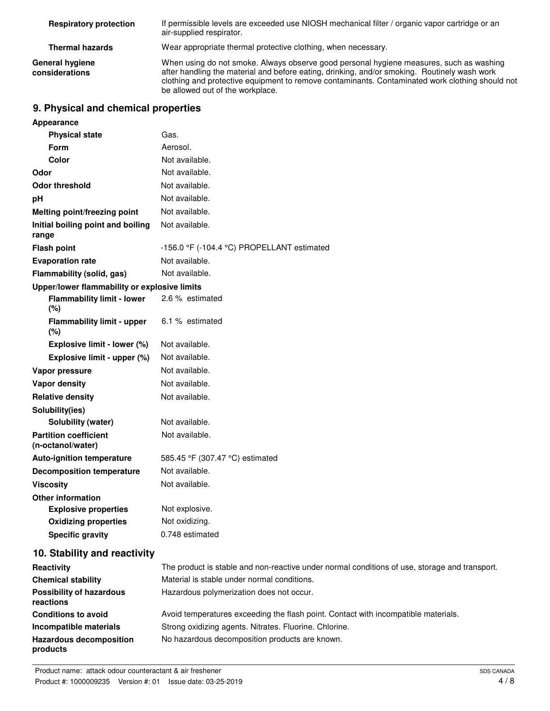| <b>Respiratory protection</b>     | If permissible levels are exceeded use NIOSH mechanical filter / organic vapor cartridge or an<br>air-supplied respirator.                                                                                                                                                                                                     |
|-----------------------------------|--------------------------------------------------------------------------------------------------------------------------------------------------------------------------------------------------------------------------------------------------------------------------------------------------------------------------------|
| <b>Thermal hazards</b>            | Wear appropriate thermal protective clothing, when necessary.                                                                                                                                                                                                                                                                  |
| General hygiene<br>considerations | When using do not smoke. Always observe good personal hygiene measures, such as washing<br>after handling the material and before eating, drinking, and/or smoking. Routinely wash work<br>clothing and protective equipment to remove contaminants. Contaminated work clothing should not<br>be allowed out of the workplace. |

# **9. Physical and chemical properties**

| <b>Appearance</b>                                 |                                                           |
|---------------------------------------------------|-----------------------------------------------------------|
| <b>Physical state</b>                             | Gas.                                                      |
| Form                                              | Aerosol.                                                  |
| Color                                             | Not available.                                            |
| Odor                                              | Not available.                                            |
| <b>Odor threshold</b>                             | Not available.                                            |
| рH                                                | Not available.                                            |
| Melting point/freezing point                      | Not available.                                            |
| Initial boiling point and boiling<br>range        | Not available.                                            |
| <b>Flash point</b>                                | $-156.0$ °F ( $-104.4$ °C) PROPELLANT estimated           |
| <b>Evaporation rate</b>                           | Not available.                                            |
| Flammability (solid, gas)                         | Not available.                                            |
| Upper/lower flammability or explosive limits      |                                                           |
| <b>Flammability limit - lower</b><br>(%)          | 2.6 % estimated                                           |
| <b>Flammability limit - upper</b><br>(%)          | 6.1 % estimated                                           |
| Explosive limit - lower (%)                       | Not available.                                            |
| Explosive limit - upper (%)                       | Not available.                                            |
| Vapor pressure                                    | Not available.                                            |
| <b>Vapor density</b>                              | Not available.                                            |
| <b>Relative density</b>                           | Not available.                                            |
| Solubility(ies)                                   |                                                           |
| Solubility (water)                                | Not available.                                            |
| <b>Partition coefficient</b><br>(n-octanol/water) | Not available.                                            |
| <b>Auto-ignition temperature</b>                  | 585.45 °F (307.47 °C) estimated                           |
| <b>Decomposition temperature</b>                  | Not available.                                            |
| <b>Viscosity</b>                                  | Not available.                                            |
| <b>Other information</b>                          |                                                           |
| <b>Explosive properties</b>                       | Not explosive.                                            |
| <b>Oxidizing properties</b>                       | Not oxidizing.                                            |
| <b>Specific gravity</b>                           | 0.748 estimated                                           |
| 10. Stability and reactivity                      |                                                           |
| $D$ a a ativitu $\cdot$                           | The product is stable and non-resortive under permal cons |

| Reactivity                                   | The product is stable and non-reactive under normal conditions of use, storage and transport. |
|----------------------------------------------|-----------------------------------------------------------------------------------------------|
| <b>Chemical stability</b>                    | Material is stable under normal conditions.                                                   |
| <b>Possibility of hazardous</b><br>reactions | Hazardous polymerization does not occur.                                                      |
| <b>Conditions to avoid</b>                   | Avoid temperatures exceeding the flash point. Contact with incompatible materials.            |
| Incompatible materials                       | Strong oxidizing agents. Nitrates. Fluorine. Chlorine.                                        |
| <b>Hazardous decomposition</b><br>products   | No hazardous decomposition products are known.                                                |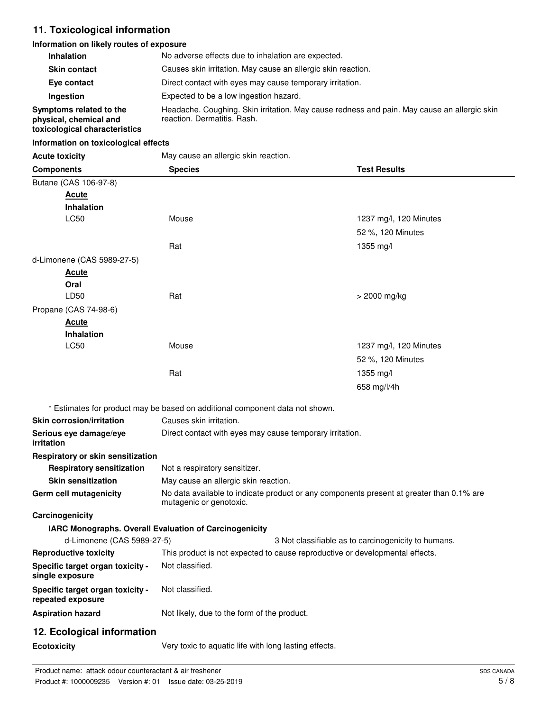# **11. Toxicological information**

#### **Information on likely routes of exposure**

| <b>Inhalation</b>                                                                  | No adverse effects due to inhalation are expected.                                                                         |
|------------------------------------------------------------------------------------|----------------------------------------------------------------------------------------------------------------------------|
| <b>Skin contact</b>                                                                | Causes skin irritation. May cause an allergic skin reaction.                                                               |
| Eye contact                                                                        | Direct contact with eyes may cause temporary irritation.                                                                   |
| Ingestion                                                                          | Expected to be a low ingestion hazard.                                                                                     |
| Symptoms related to the<br>physical, chemical and<br>toxicological characteristics | Headache. Coughing. Skin irritation. May cause redness and pain. May cause an allergic skin<br>reaction. Dermatitis. Rash. |

#### **Information on toxicological effects**

| <b>Acute toxicity</b> |  |
|-----------------------|--|

May cause an allergic skin reaction.

| ACULE LUXICITY                                        | iviay cause an allergic shirt reaction.                                                                             |                                                     |
|-------------------------------------------------------|---------------------------------------------------------------------------------------------------------------------|-----------------------------------------------------|
| <b>Components</b>                                     | <b>Species</b>                                                                                                      | <b>Test Results</b>                                 |
| Butane (CAS 106-97-8)                                 |                                                                                                                     |                                                     |
| <b>Acute</b>                                          |                                                                                                                     |                                                     |
| <b>Inhalation</b>                                     |                                                                                                                     |                                                     |
| LC50                                                  | Mouse                                                                                                               | 1237 mg/l, 120 Minutes                              |
|                                                       |                                                                                                                     | 52 %, 120 Minutes                                   |
|                                                       | Rat                                                                                                                 | 1355 mg/l                                           |
| d-Limonene (CAS 5989-27-5)                            |                                                                                                                     |                                                     |
| <u>Acute</u>                                          |                                                                                                                     |                                                     |
| Oral                                                  |                                                                                                                     |                                                     |
| LD50                                                  | Rat                                                                                                                 | > 2000 mg/kg                                        |
| Propane (CAS 74-98-6)                                 |                                                                                                                     |                                                     |
| <b>Acute</b>                                          |                                                                                                                     |                                                     |
| <b>Inhalation</b>                                     |                                                                                                                     |                                                     |
| <b>LC50</b>                                           | Mouse                                                                                                               | 1237 mg/l, 120 Minutes                              |
|                                                       |                                                                                                                     | 52 %, 120 Minutes                                   |
|                                                       | Rat                                                                                                                 | 1355 mg/l                                           |
|                                                       |                                                                                                                     | 658 mg/l/4h                                         |
|                                                       |                                                                                                                     |                                                     |
|                                                       | * Estimates for product may be based on additional component data not shown.                                        |                                                     |
| <b>Skin corrosion/irritation</b>                      | Causes skin irritation.                                                                                             |                                                     |
| Serious eye damage/eye<br>irritation                  | Direct contact with eyes may cause temporary irritation.                                                            |                                                     |
| Respiratory or skin sensitization                     |                                                                                                                     |                                                     |
| <b>Respiratory sensitization</b>                      | Not a respiratory sensitizer.                                                                                       |                                                     |
| <b>Skin sensitization</b>                             | May cause an allergic skin reaction.                                                                                |                                                     |
| Germ cell mutagenicity                                | No data available to indicate product or any components present at greater than 0.1% are<br>mutagenic or genotoxic. |                                                     |
| Carcinogenicity                                       |                                                                                                                     |                                                     |
|                                                       | IARC Monographs. Overall Evaluation of Carcinogenicity                                                              |                                                     |
| d-Limonene (CAS 5989-27-5)                            |                                                                                                                     | 3 Not classifiable as to carcinogenicity to humans. |
| <b>Reproductive toxicity</b>                          | This product is not expected to cause reproductive or developmental effects.                                        |                                                     |
| Specific target organ toxicity -<br>single exposure   | Not classified.                                                                                                     |                                                     |
| Specific target organ toxicity -<br>repeated exposure | Not classified.                                                                                                     |                                                     |
| <b>Aspiration hazard</b>                              | Not likely, due to the form of the product.                                                                         |                                                     |
| 12. Ecological information                            |                                                                                                                     |                                                     |
| Ecotoxicity                                           | Very toxic to aquatic life with long lasting effects.                                                               |                                                     |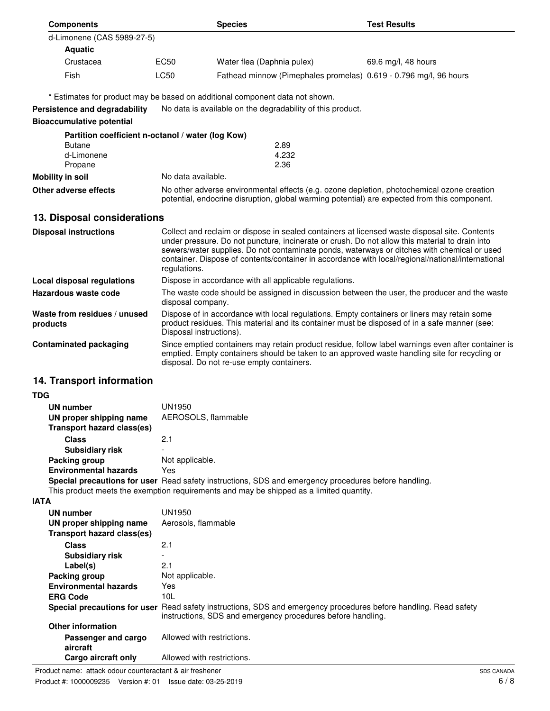|      | <b>Components</b>                                            |                                                                                                                   | <b>Species</b>                                                                                                                                                                                                                                                                                                                                                                                      | <b>Test Results</b> |
|------|--------------------------------------------------------------|-------------------------------------------------------------------------------------------------------------------|-----------------------------------------------------------------------------------------------------------------------------------------------------------------------------------------------------------------------------------------------------------------------------------------------------------------------------------------------------------------------------------------------------|---------------------|
|      | d-Limonene (CAS 5989-27-5)                                   |                                                                                                                   |                                                                                                                                                                                                                                                                                                                                                                                                     |                     |
|      | <b>Aquatic</b>                                               |                                                                                                                   |                                                                                                                                                                                                                                                                                                                                                                                                     |                     |
|      | Crustacea                                                    | EC50                                                                                                              | Water flea (Daphnia pulex)                                                                                                                                                                                                                                                                                                                                                                          | 69.6 mg/l, 48 hours |
|      | Fish                                                         | <b>LC50</b>                                                                                                       | Fathead minnow (Pimephales promelas) 0.619 - 0.796 mg/l, 96 hours                                                                                                                                                                                                                                                                                                                                   |                     |
|      |                                                              |                                                                                                                   | * Estimates for product may be based on additional component data not shown.                                                                                                                                                                                                                                                                                                                        |                     |
|      | Persistence and degradability                                |                                                                                                                   | No data is available on the degradability of this product.                                                                                                                                                                                                                                                                                                                                          |                     |
|      | <b>Bioaccumulative potential</b>                             |                                                                                                                   |                                                                                                                                                                                                                                                                                                                                                                                                     |                     |
|      | Partition coefficient n-octanol / water (log Kow)            |                                                                                                                   |                                                                                                                                                                                                                                                                                                                                                                                                     |                     |
|      | <b>Butane</b><br>2.89                                        |                                                                                                                   |                                                                                                                                                                                                                                                                                                                                                                                                     |                     |
|      | d-Limonene                                                   |                                                                                                                   | 4.232                                                                                                                                                                                                                                                                                                                                                                                               |                     |
|      | Propane                                                      |                                                                                                                   | 2.36                                                                                                                                                                                                                                                                                                                                                                                                |                     |
|      | Mobility in soil                                             | No data available.                                                                                                |                                                                                                                                                                                                                                                                                                                                                                                                     |                     |
|      | Other adverse effects                                        |                                                                                                                   | No other adverse environmental effects (e.g. ozone depletion, photochemical ozone creation<br>potential, endocrine disruption, global warming potential) are expected from this component.                                                                                                                                                                                                          |                     |
|      | 13. Disposal considerations                                  |                                                                                                                   |                                                                                                                                                                                                                                                                                                                                                                                                     |                     |
|      | <b>Disposal instructions</b>                                 | regulations.                                                                                                      | Collect and reclaim or dispose in sealed containers at licensed waste disposal site. Contents<br>under pressure. Do not puncture, incinerate or crush. Do not allow this material to drain into<br>sewers/water supplies. Do not contaminate ponds, waterways or ditches with chemical or used<br>container. Dispose of contents/container in accordance with local/regional/national/international |                     |
|      | <b>Local disposal regulations</b>                            |                                                                                                                   | Dispose in accordance with all applicable regulations.                                                                                                                                                                                                                                                                                                                                              |                     |
|      | Hazardous waste code                                         | The waste code should be assigned in discussion between the user, the producer and the waste<br>disposal company. |                                                                                                                                                                                                                                                                                                                                                                                                     |                     |
|      | Waste from residues / unused<br>products                     | Disposal instructions).                                                                                           | Dispose of in accordance with local regulations. Empty containers or liners may retain some<br>product residues. This material and its container must be disposed of in a safe manner (see:                                                                                                                                                                                                         |                     |
|      | <b>Contaminated packaging</b>                                |                                                                                                                   | Since emptied containers may retain product residue, follow label warnings even after container is<br>emptied. Empty containers should be taken to an approved waste handling site for recycling or<br>disposal. Do not re-use empty containers.                                                                                                                                                    |                     |
|      | 14. Transport information                                    |                                                                                                                   |                                                                                                                                                                                                                                                                                                                                                                                                     |                     |
| TDG  |                                                              |                                                                                                                   |                                                                                                                                                                                                                                                                                                                                                                                                     |                     |
|      | <b>UN number</b>                                             | UN1950                                                                                                            |                                                                                                                                                                                                                                                                                                                                                                                                     |                     |
|      | UN proper shipping name                                      | AEROSOLS, flammable                                                                                               |                                                                                                                                                                                                                                                                                                                                                                                                     |                     |
|      | <b>Transport hazard class(es)</b>                            |                                                                                                                   |                                                                                                                                                                                                                                                                                                                                                                                                     |                     |
|      | <b>Class</b>                                                 | 2.1                                                                                                               |                                                                                                                                                                                                                                                                                                                                                                                                     |                     |
|      | <b>Subsidiary risk</b>                                       |                                                                                                                   |                                                                                                                                                                                                                                                                                                                                                                                                     |                     |
|      | Packing group                                                | Not applicable.<br>Yes                                                                                            |                                                                                                                                                                                                                                                                                                                                                                                                     |                     |
|      | <b>Environmental hazards</b>                                 |                                                                                                                   | Special precautions for user Read safety instructions, SDS and emergency procedures before handling.                                                                                                                                                                                                                                                                                                |                     |
|      |                                                              |                                                                                                                   | This product meets the exemption requirements and may be shipped as a limited quantity.                                                                                                                                                                                                                                                                                                             |                     |
| IATA |                                                              |                                                                                                                   |                                                                                                                                                                                                                                                                                                                                                                                                     |                     |
|      | <b>UN number</b>                                             | <b>UN1950</b>                                                                                                     |                                                                                                                                                                                                                                                                                                                                                                                                     |                     |
|      | UN proper shipping name<br><b>Transport hazard class(es)</b> | Aerosols, flammable                                                                                               |                                                                                                                                                                                                                                                                                                                                                                                                     |                     |
|      | <b>Class</b>                                                 | 2.1                                                                                                               |                                                                                                                                                                                                                                                                                                                                                                                                     |                     |
|      |                                                              |                                                                                                                   |                                                                                                                                                                                                                                                                                                                                                                                                     |                     |

| Class                           | 2.1                                                                                                                                                                                    |
|---------------------------------|----------------------------------------------------------------------------------------------------------------------------------------------------------------------------------------|
| <b>Subsidiary risk</b>          | $\overline{\phantom{0}}$                                                                                                                                                               |
| Label(s)                        | 2.1                                                                                                                                                                                    |
| Packing group                   | Not applicable.                                                                                                                                                                        |
| <b>Environmental hazards</b>    | Yes                                                                                                                                                                                    |
| <b>ERG Code</b>                 | 10L                                                                                                                                                                                    |
|                                 | <b>Special precautions for user</b> Read safety instructions, SDS and emergency procedures before handling. Read safety<br>instructions, SDS and emergency procedures before handling. |
| <b>Other information</b>        |                                                                                                                                                                                        |
| Passenger and cargo<br>aircraft | Allowed with restrictions.                                                                                                                                                             |
| Cargo aircraft only             | Allowed with restrictions.                                                                                                                                                             |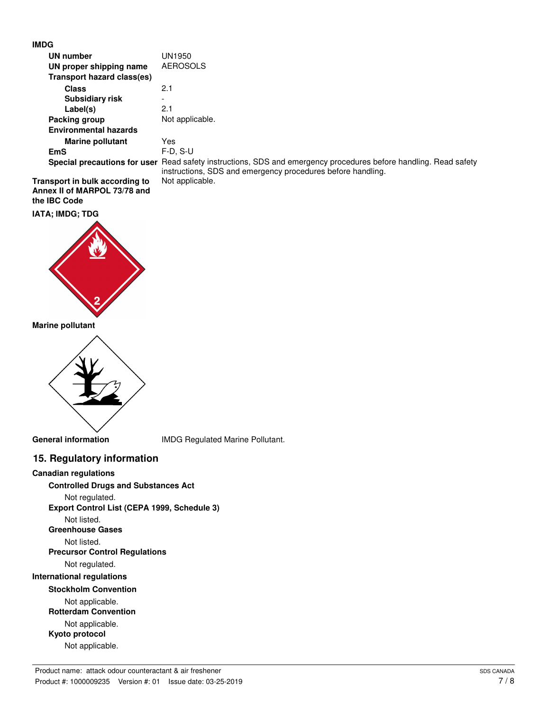#### **IMDG**

| UN number                      | UN1950                                                                                                                                                                          |
|--------------------------------|---------------------------------------------------------------------------------------------------------------------------------------------------------------------------------|
| UN proper shipping name        | <b>AEROSOLS</b>                                                                                                                                                                 |
| Transport hazard class(es)     |                                                                                                                                                                                 |
| <b>Class</b>                   | 2.1                                                                                                                                                                             |
| <b>Subsidiary risk</b>         |                                                                                                                                                                                 |
| Label(s)                       | 2.1                                                                                                                                                                             |
| Packing group                  | Not applicable.                                                                                                                                                                 |
| <b>Environmental hazards</b>   |                                                                                                                                                                                 |
| <b>Marine pollutant</b>        | Yes                                                                                                                                                                             |
| <b>EmS</b>                     | $F-D. S-U$                                                                                                                                                                      |
|                                | Special precautions for user Read safety instructions, SDS and emergency procedures before handling. Read safety<br>instructions, SDS and emergency procedures before handling. |
| Transport in bulk according to | Not applicable.                                                                                                                                                                 |

**Annex II of MARPOL 73/78 and the IBC Code**

**IATA; IMDG; TDG**



**Marine pollutant**



**General information** IMDG Regulated Marine Pollutant.

#### **15. Regulatory information**

**Canadian regulations**

**Controlled Drugs and Substances Act**

Not regulated.

**Export Control List (CEPA 1999, Schedule 3)**

Not listed.

**Greenhouse Gases**

Not listed.

**Precursor Control Regulations**

Not regulated.

**International regulations**

#### **Stockholm Convention**

Not applicable. **Rotterdam Convention** Not applicable. **Kyoto protocol** Not applicable.